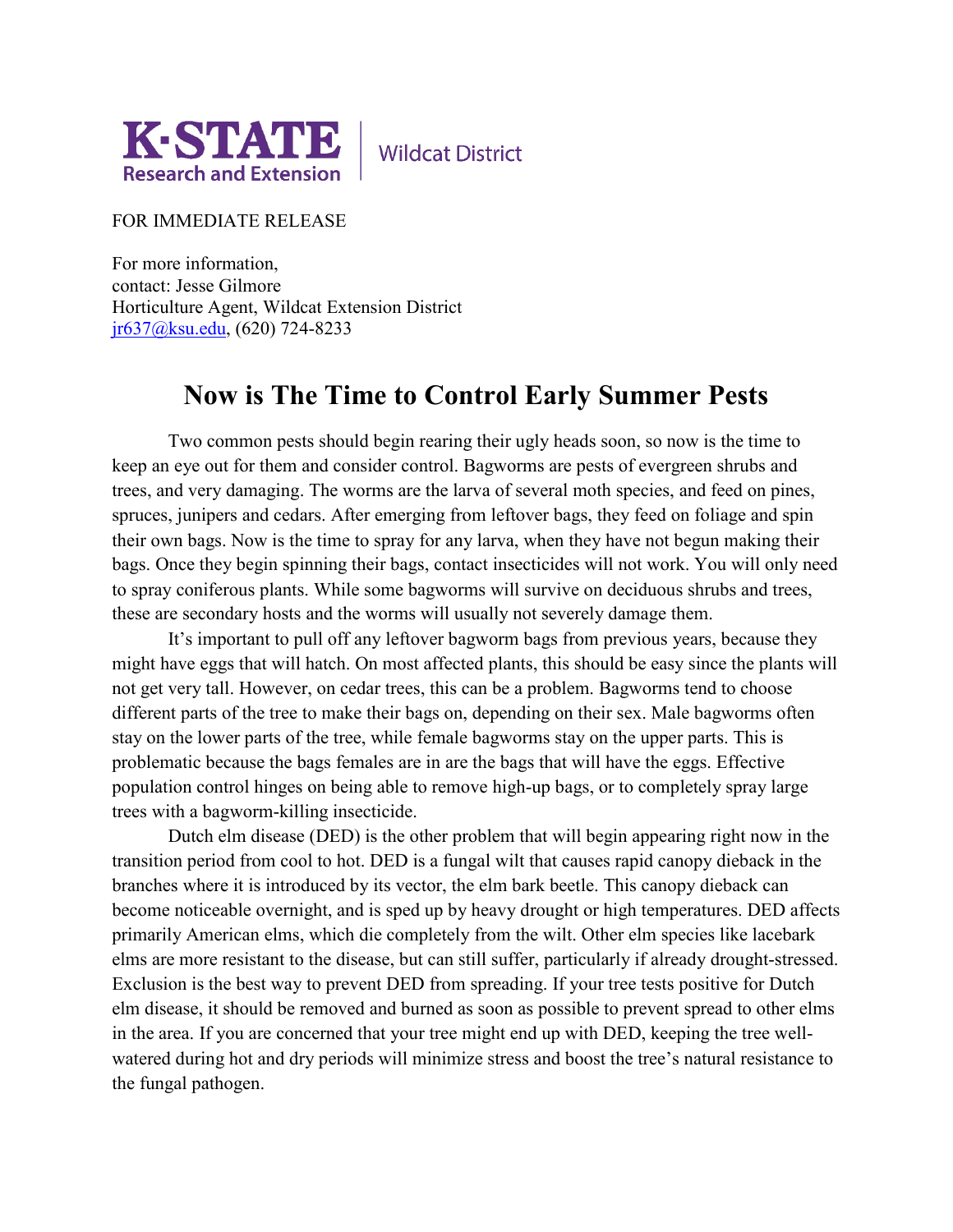

**Wildcat District** 

FOR IMMEDIATE RELEASE

For more information, contact: Jesse Gilmore Horticulture Agent, Wildcat Extension District [jr637@ksu.edu,](mailto:jr637@ksu.edu) (620) 724-8233

## **Now is The Time to Control Early Summer Pests**

Two common pests should begin rearing their ugly heads soon, so now is the time to keep an eye out for them and consider control. Bagworms are pests of evergreen shrubs and trees, and very damaging. The worms are the larva of several moth species, and feed on pines, spruces, junipers and cedars. After emerging from leftover bags, they feed on foliage and spin their own bags. Now is the time to spray for any larva, when they have not begun making their bags. Once they begin spinning their bags, contact insecticides will not work. You will only need to spray coniferous plants. While some bagworms will survive on deciduous shrubs and trees, these are secondary hosts and the worms will usually not severely damage them.

It's important to pull off any leftover bagworm bags from previous years, because they might have eggs that will hatch. On most affected plants, this should be easy since the plants will not get very tall. However, on cedar trees, this can be a problem. Bagworms tend to choose different parts of the tree to make their bags on, depending on their sex. Male bagworms often stay on the lower parts of the tree, while female bagworms stay on the upper parts. This is problematic because the bags females are in are the bags that will have the eggs. Effective population control hinges on being able to remove high-up bags, or to completely spray large trees with a bagworm-killing insecticide.

Dutch elm disease (DED) is the other problem that will begin appearing right now in the transition period from cool to hot. DED is a fungal wilt that causes rapid canopy dieback in the branches where it is introduced by its vector, the elm bark beetle. This canopy dieback can become noticeable overnight, and is sped up by heavy drought or high temperatures. DED affects primarily American elms, which die completely from the wilt. Other elm species like lacebark elms are more resistant to the disease, but can still suffer, particularly if already drought-stressed. Exclusion is the best way to prevent DED from spreading. If your tree tests positive for Dutch elm disease, it should be removed and burned as soon as possible to prevent spread to other elms in the area. If you are concerned that your tree might end up with DED, keeping the tree wellwatered during hot and dry periods will minimize stress and boost the tree's natural resistance to the fungal pathogen.